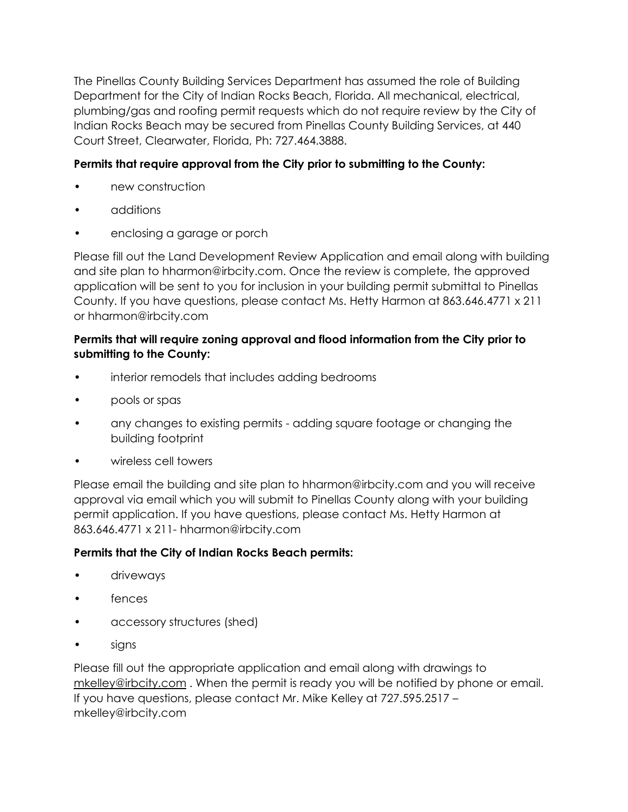The Pinellas County Building Services Department has assumed the role of Building Department for the City of Indian Rocks Beach, Florida. All mechanical, electrical, plumbing/gas and roofing permit requests which do not require review by the City of Indian Rocks Beach may be secured from Pinellas County Building Services, at 440 Court Street, Clearwater, Florida, Ph: 727.464.3888.

# **Permits that require approval from the City prior to submitting to the County:**

- new construction
- additions
- enclosing a garage or porch

Please fill out the Land Development Review Application and email along with building and site plan to hharmon@irbcity.com. Once the review is complete, the approved application will be sent to you for inclusion in your building permit submittal to Pinellas County. If you have questions, please contact Ms. Hetty Harmon at 863.646.4771 x 211 or hharmon@irbcity.com

## **Permits that will require zoning approval and flood information from the City prior to submitting to the County:**

- interior remodels that includes adding bedrooms
- pools or spas
- any changes to existing permits adding square footage or changing the building footprint
- wireless cell towers

Please email the building and site plan to hharmon@irbcity.com and you will receive approval via email which you will submit to Pinellas County along with your building permit application. If you have questions, please contact Ms. Hetty Harmon at 863.646.4771 x 211- hharmon@irbcity.com

## **Permits that the City of Indian Rocks Beach permits:**

- driveways
- fences
- accessory structures (shed)
- signs

Please fill out the appropriate application and email along with drawings to [mkelley@irbcity.com](mailto:mkelley@irbcity.com) . When the permit is ready you will be notified by phone or email. If you have questions, please contact Mr. Mike Kelley at 727.595.2517 – mkelley@irbcity.com